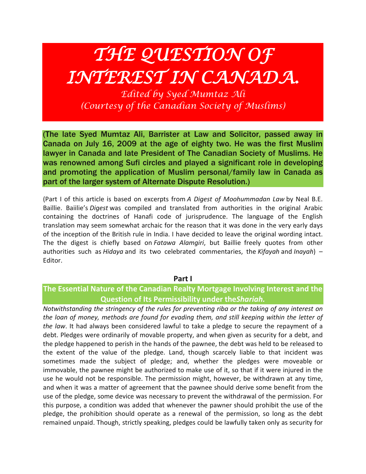# *THE QUESTION OF INTEREST IN CANADA.*

*Edited by Syed Mumtaz Ali (Courtesy of the Canadian Society of Muslims)*

(The late Syed Mumtaz Ali, Barrister at Law and Solicitor, passed away in Canada on July 16, 2009 at the age of eighty two. He was the first Muslim lawyer in Canada and late President of The Canadian Society of Muslims. He was renowned among Sufi circles and played a significant role in developing and promoting the application of Muslim personal/family law in Canada as part of the larger system of Alternate Dispute Resolution.)

(Part I of this article is based on excerpts from *A Digest of Moohummadan Law* by Neal B.E. Baillie. Baiilie's *Digest* was compiled and translated from authorities in the original Arabic containing the doctrines of Hanafi code of jurisprudence. The language of the English translation may seem somewhat archaic for the reason that it was done in the very early days of the inception of the British rule in India. I have decided to leave the original wording intact. The the digest is chiefly based on *Fatawa Alamgiri*, but Baillie freely quotes from other authorities such as *Hidaya* and its two celebrated commentaries, the *Kifayah* and *Inayah*) – Editor.

**Part I**

# **The Essential Nature of the Canadian Realty Mortgage Involving Interest and the Question of Its Permissibility under the***Shariah.*

*Notwithstanding the stringency of the rules for preventing riba or the taking of any interest on the loan of money, methods are found for evading them, and still keeping within the letter of the law*. It had always been considered lawful to take a pledge to secure the repayment of a debt. Pledges were ordinarily of movable property, and when given as security for a debt, and the pledge happened to perish in the hands of the pawnee, the debt was held to be released to the extent of the value of the pledge. Land, though scarcely liable to that incident was sometimes made the subject of pledge; and, whether the pledges were moveable or immovable, the pawnee might be authorized to make use of it, so that if it were injured in the use he would not be responsible. The permission might, however, be withdrawn at any time, and when it was a matter of agreement that the pawnee should derive some benefit from the use of the pledge, some device was necessary to prevent the withdrawal of the permission. For this purpose, a condition was added that whenever the pawner should prohibit the use of the pledge, the prohibition should operate as a renewal of the permission, so long as the debt remained unpaid. Though, strictly speaking, pledges could be lawfully taken only as security for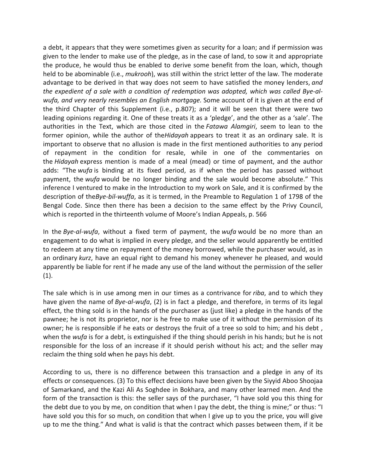a debt, it appears that they were sometimes given as security for a loan; and if permission was given to the lender to make use of the pledge, as in the case of land, to sow it and appropriate the produce, he would thus be enabled to derive some benefit from the loan, which, though held to be abominable (i.e., *mukrooh*), was still within the strict letter of the law. The moderate advantage to be derived in that way does not seem to have satisfied the money lenders, *and the expedient of a sale with a condition of redemption was adopted, which was called Bye-alwufa, and very nearly resembles an English mortgage.* Some account of it is given at the end of the third Chapter of this Supplement (i.e., p.807); and it will be seen that there were two leading opinions regarding it. One of these treats it as a 'pledge', and the other as a 'sale'. The authorities in the Text, which are those cited in the *Fatawa Alamgiri*, seem to lean to the former opinion, while the author of the*Hidayah* appears to treat it as an ordinary sale. It is important to observe that no allusion is made in the first mentioned authorities to any period of repayment in the condition for resale, while in one of the commentaries on the *Hidayah* express mention is made of a meal (mead) or time of payment, and the author adds: "The *wufa* is binding at its fixed period, as if when the period has passed without payment, the *wufa* would be no longer binding and the sale would become absolute." This inference I ventured to make in the Introduction to my work on Sale, and it is confirmed by the description of the*Bye-bil-wuffa*, as it is termed, in the Preamble to Regulation 1 of 1798 of the Bengal Code. Since then there has been a decision to the same effect by the Privy Council, which is reported in the thirteenth volume of Moore's Indian Appeals, p. 566

In the *Bye-al-wufa*, without a fixed term of payment, the *wufa* would be no more than an engagement to do what is implied in every pledge, and the seller would apparently be entitled to redeem at any time on repayment of the money borrowed, while the purchaser would, as in an ordinary *kurz*, have an equal right to demand his money whenever he pleased, and would apparently be liable for rent if he made any use of the land without the permission of the seller (1).

The sale which is in use among men in our times as a contrivance for *riba*, and to which they have given the name of *Bye-al-wufa*, (2) is in fact a pledge, and therefore, in terms of its legal effect, the thing sold is in the hands of the purchaser as (just like) a pledge in the hands of the pawnee; he is not its proprietor, nor is he free to make use of it without the permission of its owner; he is responsible if he eats or destroys the fruit of a tree so sold to him; and his debt , when the *wufa* is for a debt, is extinguished if the thing should perish in his hands; but he is not responsible for the loss of an increase if it should perish without his act; and the seller may reclaim the thing sold when he pays his debt.

According to us, there is no difference between this transaction and a pledge in any of its effects or consequences. (3) To this effect decisions have been given by the Siyyid Aboo Shoojaa of Samarkand, and the Kazi Ali As Soghdee in Bokhara, and many other learned men. And the form of the transaction is this: the seller says of the purchaser, "I have sold you this thing for the debt due to you by me, on condition that when I pay the debt, the thing is mine;" or thus: "I have sold you this for so much, on condition that when I give up to you the price, you will give up to me the thing." And what is valid is that the contract which passes between them, if it be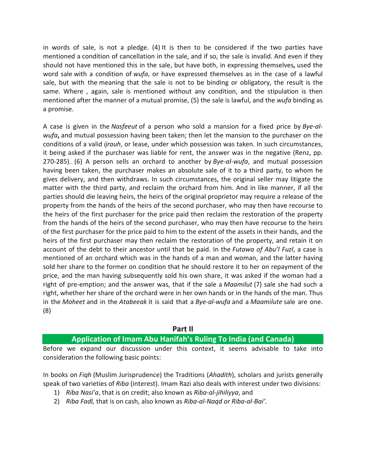in words of sale, is not a pledge. (4) It is then to be considered if the two parties have mentioned a condition of cancellation in the sale, and if so, the sale is invalid. And even if they should not have mentioned this in the sale, but have both, in expressing themselves**,** used the word sale with a condition of *wufa*, or have expressed themselves as in the case of a lawful sale, but with the meaning that the sale is not to be binding or obligatory, the result is the same. Where , again, sale is mentioned without any condition, and the stipulation is then mentioned after the manner of a mutual promise, (5) the sale is lawful, and the *wufa* binding as a promise.

A case is given in the *Nasfeeut* of a person who sold a mansion for a fixed price by *Bye-alwufa***,** and mutual possession having been taken; then let the mansion to the purchaser on the conditions of a valid *ijrauh*, or lease, under which possession was taken. In such circumstances, it being asked if the purchaser was liable for rent, the answer was in the negative (Renz, pp. 270-285). (6) A person sells an orchard to another by *Bye-al-wufa*, and mutual possession having been taken, the purchaser makes an absolute sale of it to a third party, to whom he gives delivery, and then withdraws. In such circumstances, the original seller may litigate the matter with the third party, and reclaim the orchard from him. And in like manner, if all the parties should die leaving heirs, the heirs of the original proprietor may require a release of the property from the hands of the heirs of the second purchaser, who may then have recourse to the heirs of the first purchaser for the price paid then reclaim the restoration of the property from the hands of the heirs of the second purchaser, who may then have recourse to the heirs of the first purchaser for the price paid to him to the extent of the assets in their hands, and the heirs of the first purchaser may then reclaim the restoration of the property, and retain it on account of the debt to their ancestor until that be paid. In the *Futawa of Abu'l Fuzl*, a case is mentioned of an orchard which was in the hands of a man and woman, and the latter having sold her share to the former on condition that he should restore it to her on repayment of the price, and the man having subsequently sold his own share, it was asked if the woman had a right of pre-emption; and the answer was, that if the sale a *Maamilut* (7) sale she had such a right, whether her share of the orchard were in her own hands or in the hands of the man. Thus in the *Moheet* and in the *Atabeeak* it is said that a *Bye-al-wufa* and a *Maamilute* sale are one. (8)

#### **Part II**

# **Application of Imam Abu Hanifah's Ruling To India (and Canada)**

Before we expand our discussion under this context, it seems advisable to take into consideration the following basic points:

In books on *Fiqh* (Muslim Jurisprudence) the Traditions (*Ahadith*), scholars and jurists generally speak of two varieties of *Riba* (interest). Imam Razi also deals with interest under two divisions:

- 1) *Riba Nasi'a*, that is on credit; also known as *Riba-al-jihiliyya*, and
- 2) *Riba Fadl,* that is on cash, also known as *Riba-al-Naqd or Riba-al-Bai'.*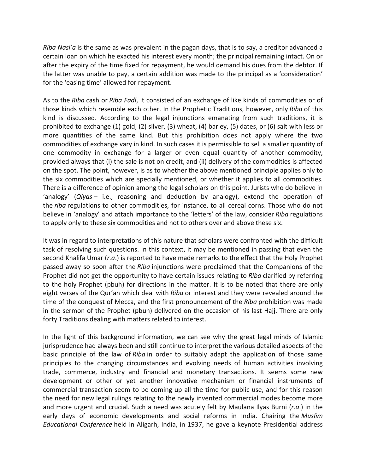*Riba Nasi'a* is the same as was prevalent in the pagan days, that is to say, a creditor advanced a certain loan on which he exacted his interest every month; the principal remaining intact. On or after the expiry of the time fixed for repayment, he would demand his dues from the debtor. If the latter was unable to pay, a certain addition was made to the principal as a 'consideration' for the 'easing time' allowed for repayment.

As to the *Riba* cash or *Riba Fadl*, it consisted of an exchange of like kinds of commodities or of those kinds which resemble each other. In the Prophetic Traditions, however, only *Riba* of this kind is discussed. According to the legal injunctions emanating from such traditions, it is prohibited to exchange (1) gold, (2) silver, (3) wheat, (4) barley, (5) dates, or (6) salt with less or more quantities of the same kind. But this prohibition does not apply where the two commodities of exchange vary in kind. In such cases it is permissible to sell a smaller quantity of one commodity in exchange for a larger or even equal quantity of another commodity, provided always that (i) the sale is not on credit, and (ii) delivery of the commodities is affected on the spot. The point, however, is as to whether the above mentioned principle applies only to the six commodities which are specially mentioned, or whether it applies to all commodities. There is a difference of opinion among the legal scholars on this point. Jurists who do believe in 'analogy' (*Qiyas* – i.e., reasoning and deduction by analogy), extend the operation of the *riba* regulations to other commodities, for instance, to all cereal corns. Those who do not believe in 'analogy' and attach importance to the 'letters' of the law, consider *Riba* regulations to apply only to these six commodities and not to others over and above these six.

It was in regard to interpretations of this nature that scholars were confronted with the difficult task of resolving such questions. In this context, it may be mentioned in passing that even the second Khalifa Umar (*r.a*.) is reported to have made remarks to the effect that the Holy Prophet passed away so soon after the *Riba* injunctions were proclaimed that the Companions of the Prophet did not get the opportunity to have certain issues relating to *Riba* clarified by referring to the holy Prophet (pbuh) for directions in the matter. It is to be noted that there are only eight verses of the Qur'an which deal with *Riba* or interest and they were revealed around the time of the conquest of Mecca, and the first pronouncement of the *Riba* prohibition was made in the sermon of the Prophet (pbuh) delivered on the occasion of his last Hajj. There are only forty Traditions dealing with matters related to interest.

In the light of this background information, we can see why the great legal minds of Islamic jurisprudence had always been and still continue to interpret the various detailed aspects of the basic principle of the law of *Riba* in order to suitably adapt the application of those same principles to the changing circumstances and evolving needs of human activities involving trade, commerce, industry and financial and monetary transactions. It seems some new development or other or yet another innovative mechanism or financial instruments of commercial transaction seem to be coming up all the time for public use, and for this reason the need for new legal rulings relating to the newly invented commercial modes become more and more urgent and crucial. Such a need was acutely felt by Maulana Ilyas Burni (*r.a*.) in the early days of economic developments and social reforms in India. Chairing the *Muslim Educational Conference* held in Aligarh, India, in 1937, he gave a keynote Presidential address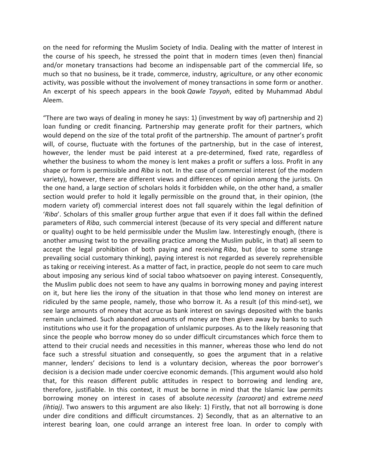on the need for reforming the Muslim Society of India. Dealing with the matter of Interest in the course of his speech, he stressed the point that in modern times (even then) financial and/or monetary transactions had become an indispensable part of the commercial life, so much so that no business, be it trade, commerce, industry, agriculture, or any other economic activity, was possible without the involvement of money transactions in some form or another. An excerpt of his speech appears in the book *Qawle Tayyah*, edited by Muhammad Abdul Aleem.

"There are two ways of dealing in money he says: 1) (investment by way of) partnership and 2) loan funding or credit financing. Partnership may generate profit for their partners, which would depend on the size of the total profit of the partnership. The amount of partner's profit will, of course, fluctuate with the fortunes of the partnership, but in the case of interest, however, the lender must be paid interest at a pre-determined, fixed rate, regardless of whether the business to whom the money is lent makes a profit or suffers a loss. Profit in any shape or form is permissible and *Riba* is not. In the case of commercial interest (of the modern variety), however, there are different views and differences of opinion among the jurists. On the one hand, a large section of scholars holds it forbidden while, on the other hand, a smaller section would prefer to hold it legally permissible on the ground that, in their opinion, (the modern variety of) commercial interest does not fall squarely within the legal definition of '*Riba*'. Scholars of this smaller group further argue that even if it does fall within the defined parameters of *Riba*, such commercial interest (because of its very special and different nature or quality) ought to be held permissible under the Muslim law. Interestingly enough, (there is another amusing twist to the prevailing practice among the Muslim public, in that) all seem to accept the legal prohibition of both paying and receiving *Riba*, but (due to some strange prevailing social customary thinking), paying interest is not regarded as severely reprehensible as taking or receiving interest. As a matter of fact, in practice, people do not seem to care much about imposing any serious kind of social taboo whatsoever on paying interest. Consequently, the Muslim public does not seem to have any qualms in borrowing money and paying interest on it, but here lies the irony of the situation in that those who lend money on interest are ridiculed by the same people, namely, those who borrow it. As a result (of this mind-set), we see large amounts of money that accrue as bank interest on savings deposited with the banks remain unclaimed. Such abandoned amounts of money are then given away by banks to such institutions who use it for the propagation of unIslamic purposes. As to the likely reasoning that since the people who borrow money do so under difficult circumstances which force them to attend to their crucial needs and necessities in this manner, whereas those who lend do not face such a stressful situation and consequently, so goes the argument that in a relative manner, lenders' decisions to lend is a voluntary decision, whereas the poor borrower's decision is a decision made under coercive economic demands. (This argument would also hold that, for this reason different public attitudes in respect to borrowing and lending are, therefore, justifiable. In this context, it must be borne in mind that the Islamic law permits borrowing money on interest in cases of absolute *necessity (zaroorat)* and extreme *need (ihtiaj)*. Two answers to this argument are also likely: 1) Firstly, that not all borrowing is done under dire conditions and difficult circumstances. 2) Secondly, that as an alternative to an interest bearing loan, one could arrange an interest free loan. In order to comply with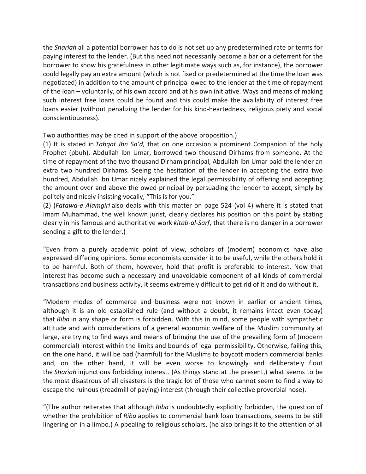the *Shariah* all a potential borrower has to do is not set up any predetermined rate or terms for paying interest to the lender. (But this need not necessarily become a bar or a deterrent for the borrower to show his gratefulness in other legitimate ways such as, for instance), the borrower could legally pay an extra amount (which is not fixed or predetermined at the time the loan was negotiated) in addition to the amount of principal owed to the lender at the time of repayment of the loan – voluntarily, of his own accord and at his own initiative. Ways and means of making such interest free loans could be found and this could make the availability of interest free loans easier (without penalizing the lender for his kind-heartedness, religious piety and social conscientiousness).

Two authorities may be cited in support of the above proposition.)

(1) It is stated in *Tabqat Ibn Sa'd*, that on one occasion a prominent Companion of the holy Prophet (pbuh), Abdullah Ibn Umar, borrowed two thousand Dirhams from someone. At the time of repayment of the two thousand Dirham principal, Abdullah Ibn Umar paid the lender an extra two hundred Dirhams. Seeing the hesitation of the lender in accepting the extra two hundred, Abdullah Ibn Umar nicely explained the legal permissibility of offering and accepting the amount over and above the owed principal by persuading the lender to accept, simply by politely and nicely insisting vocally, "This is for you."

(2) (*Fatawa-e Alamgiri* also deals with this matter on page 524 (vol 4) where it is stated that Imam Muhammad, the well known jurist, clearly declares his position on this point by stating clearly in his famous and authoritative work *kitab-al-Sarf*, that there is no danger in a borrower sending a gift to the lender.)

"Even from a purely academic point of view, scholars of (modern) economics have also expressed differing opinions. Some economists consider it to be useful, while the others hold it to be harmful. Both of them, however, hold that profit is preferable to interest. Now that interest has become such a necessary and unavoidable component of all kinds of commercial transactions and business activity, it seems extremely difficult to get rid of it and do without it.

"Modern modes of commerce and business were not known in earlier or ancient times, although it is an old established rule (and without a doubt, it remains intact even today) that *Riba* in any shape or form is forbidden. With this in mind, some people with sympathetic attitude and with considerations of a general economic welfare of the Muslim community at large, are trying to find ways and means of bringing the use of the prevailing form of (modern commercial) interest within the limits and bounds of legal permissibility. Otherwise, failing this, on the one hand, it will be bad (harmful) for the Muslims to boycott modern commercial banks and, on the other hand, it will be even worse to knowingly and deliberately flout the *Shariah* injunctions forbidding interest. (As things stand at the present,) what seems to be the most disastrous of all disasters is the tragic lot of those who cannot seem to find a way to escape the ruinous (treadmill of paying) interest (through their collective proverbial nose).

"(The author reiterates that although *Riba* is undoubtedly explicitly forbidden, the question of whether the prohibition of *Riba* applies to commercial bank loan transactions, seems to be still lingering on in a limbo.) A ppealing to religious scholars, (he also brings it to the attention of all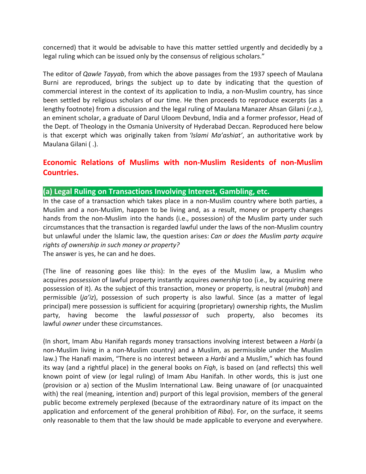concerned) that it would be advisable to have this matter settled urgently and decidedly by a legal ruling which can be issued only by the consensus of religious scholars."

The editor of *Qawle Tayyab*, from which the above passages from the 1937 speech of Maulana Burni are reproduced, brings the subject up to date by indicating that the question of commercial interest in the context of its application to India, a non-Muslim country, has since been settled by religious scholars of our time. He then proceeds to reproduce excerpts (as a lengthy footnote) from a discussion and the legal ruling of Maulana Manazer Ahsan Gilani (*r.a*.), an eminent scholar, a graduate of Darul Uloom Devbund, India and a former professor, Head of the Dept. of Theology in the Osmania University of Hyderabad Deccan. Reproduced here below is that excerpt which was originally taken from *'Islami Ma'ashiat'*, an authoritative work by Maulana Gilani ( .).

# **Economic Relations of Muslims with non-Muslim Residents of non-Muslim Countries.**

## **(a) Legal Ruling on Transactions Involving Interest, Gambling, etc.**

In the case of a transaction which takes place in a non-Muslim country where both parties, a Muslim and a non-Muslim, happen to be living and, as a result, money or property changes hands from the non-Muslim into the hands (i.e., possession) of the Muslim party under such circumstances that the transaction is regarded lawful under the laws of the non-Muslim country but unlawful under the Islamic law, the question arises: *Can or does the Muslim party acquire rights of ownership in such money or property?*

The answer is yes, he can and he does.

(The line of reasoning goes like this): In the eyes of the Muslim law, a Muslim who acquires *possession* of lawful property instantly acquires *ownership* too (i.e., by acquiring mere possession of it). As the subject of this transaction, money or property, is neutral (*mubah*) and permissible (*ja'iz*), possession of such property is also lawful. Since (as a matter of legal principal) mere possession is sufficient for acquiring (proprietary) ownership rights, the Muslim party, having become the lawful *possessor* of such property, also becomes its lawful *owner* under these circumstances.

(In short, Imam Abu Hanifah regards money transactions involving interest between a *Harbi* (a non-Muslim living in a non-Muslim country) and a Muslim, as permissible under the Muslim law.) The Hanafi maxim, "There is no interest between a *Harbi* and a Muslim," which has found its way (and a rightful place) in the general books on *Fiqh*, is based on (and reflects) this well known point of view (or legal ruling) of Imam Abu Hanifah. In other words, this is just one (provision or a) section of the Muslim International Law. Being unaware of (or unacquainted with) the real (meaning, intention and) purport of this legal provision, members of the general public become extremely perplexed (because of the extraordinary nature of its impact on the application and enforcement of the general prohibition of *Riba*). For, on the surface, it seems only reasonable to them that the law should be made applicable to everyone and everywhere.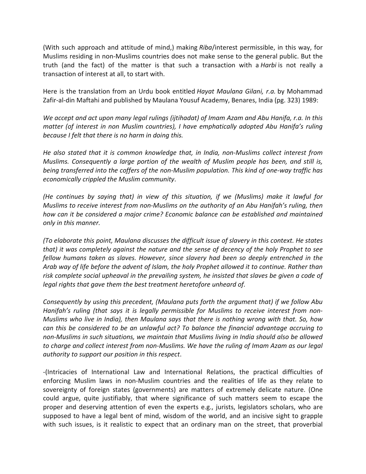(With such approach and attitude of mind,) making *Riba*/interest permissible, in this way, for Muslims residing in non-Muslims countries does not make sense to the general public. But the truth (and the fact) of the matter is that such a transaction with a *Harbi* is not really a transaction of interest at all, to start with.

Here is the translation from an Urdu book entitled *Hayat Maulana Gilani, r.a.* by Mohammad Zafir-al-din Maftahi and published by Maulana Yousuf Academy, Benares, India (pg. 323) 1989:

*We accept and act upon many legal rulings (ijtihadat) of Imam Azam and Abu Hanifa, r.a. In this matter (of interest in non Muslim countries), I have emphatically adopted Abu Hanifa's ruling because I felt that there is no harm in doing this.*

*He also stated that it is common knowledge that, in India, non-Muslims collect interest from Muslims. Consequently a large portion of the wealth of Muslim people has been, and still is, being transferred into the coffers of the non-Muslim population. This kind of one-way traffic has economically crippled the Muslim community*.

*(He continues by saying that) in view of this situation, if we (Muslims) make it lawful for Muslims to receive interest from non-Muslims on the authority of an Abu Hanifah's ruling, then how can it be considered a major crime? Economic balance can be established and maintained only in this manner.*

*(To elaborate this point, Maulana discusses the difficult issue of slavery in this context. He states that) it was completely against the nature and the sense of decency of the holy Prophet to see fellow humans taken as slaves. However, since slavery had been so deeply entrenched in the Arab way of life before the advent of Islam, the holy Prophet allowed it to continue. Rather than risk complete social upheaval in the prevailing system, he insisted that slaves be given a code of legal rights that gave them the best treatment heretofore unheard of.*

*Consequently by using this precedent, (Maulana puts forth the argument that) if we follow Abu Hanifah's ruling (that says it is legally permissible for Muslims to receive interest from non-Muslims who live in India), then Maulana says that there is nothing wrong with that. So, how can this be considered to be an unlawful act? To balance the financial advantage accruing to non-Muslims in such situations, we maintain that Muslims living in India should also be allowed to charge and collect interest from non-Muslims. We have the ruling of Imam Azam as our legal authority to support our position in this respect*.

-(Intricacies of International Law and International Relations, the practical difficulties of enforcing Muslim laws in non-Muslim countries and the realities of life as they relate to sovereignty of foreign states (governments) are matters of extremely delicate nature. (One could argue, quite justifiably, that where significance of such matters seem to escape the proper and deserving attention of even the experts e.g., jurists, legislators scholars, who are supposed to have a legal bent of mind, wisdom of the world, and an incisive sight to grapple with such issues, is it realistic to expect that an ordinary man on the street, that proverbial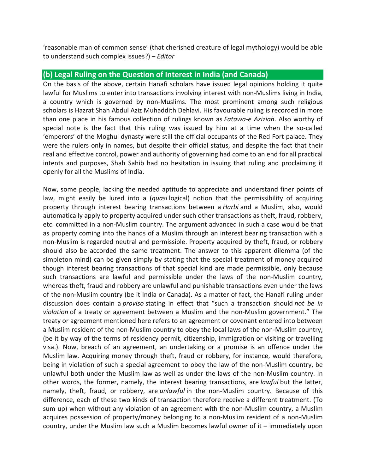'reasonable man of common sense' (that cherished creature of legal mythology) would be able to understand such complex issues?) – *Editor*

# **(b) Legal Ruling on the Question of Interest in India (and Canada)**

On the basis of the above, certain Hanafi scholars have issued legal opinions holding it quite lawful for Muslims to enter into transactions involving interest with non-Muslims living in India, a country which is governed by non-Muslims. The most prominent among such religious scholars is Hazrat Shah Abdul Aziz Muhaddith Dehlavi. His favourable ruling is recorded in more than one place in his famous collection of rulings known as *Fatawa-e Aziziah*. Also worthy of special note is the fact that this ruling was issued by him at a time when the so-called 'emperors' of the Moghul dynasty were still the official occupants of the Red Fort palace. They were the rulers only in names, but despite their official status, and despite the fact that their real and effective control, power and authority of governing had come to an end for all practical intents and purposes, Shah Sahib had no hesitation in issuing that ruling and proclaiming it openly for all the Muslims of India.

Now, some people, lacking the needed aptitude to appreciate and understand finer points of law, might easily be lured into a (*quasi* logical) notion that the permissibility of acquiring property through interest bearing transactions between a *Harbi* and a Muslim, also, would automatically apply to property acquired under such other transactions as theft, fraud, robbery, etc. committed in a non-Muslim country. The argument advanced in such a case would be that as property coming into the hands of a Muslim through an interest bearing transaction with a non-Muslim is regarded neutral and permissible. Property acquired by theft, fraud, or robbery should also be accorded the same treatment. The answer to this apparent dilemma (of the simpleton mind) can be given simply by stating that the special treatment of money acquired though interest bearing transactions of that special kind are made permissible, only because such transactions are lawful and permissible under the laws of the non-Muslim country, whereas theft, fraud and robbery are unlawful and punishable transactions even under the laws of the non-Muslim country (be it India or Canada). As a matter of fact, the Hanafi ruling under discussion does contain a *proviso* stating in effect that "such a transaction should *not be in violation* of a treaty or agreement between a Muslim and the non-Muslim government." The treaty or agreement mentioned here refers to an agreement or covenant entered into between a Muslim resident of the non-Muslim country to obey the local laws of the non-Muslim country, (be it by way of the terms of residency permit, citizenship, immigration or visiting or travelling visa.). Now, breach of an agreement, an undertaking or a promise is an offence under the Muslim law. Acquiring money through theft, fraud or robbery, for instance, would therefore, being in violation of such a special agreement to obey the law of the non-Muslim country, be unlawful both under the Muslim law as well as under the laws of the non-Muslim country. In other words, the former, namely, the interest bearing transactions, are *lawful* but the latter, namely, theft, fraud, or robbery, are *unlawful* in the non-Muslim country. Because of this difference, each of these two kinds of transaction therefore receive a different treatment. (To sum up) when without any violation of an agreement with the non-Muslim country, a Muslim acquires possession of property/money belonging to a non-Muslim resident of a non-Muslim country, under the Muslim law such a Muslim becomes lawful owner of it – immediately upon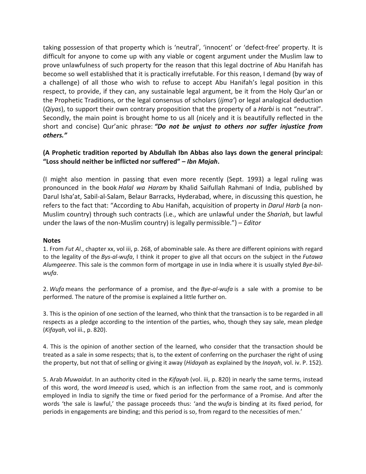taking possession of that property which is 'neutral', 'innocent' or 'defect-free' property. It is difficult for anyone to come up with any viable or cogent argument under the Muslim law to prove unlawfulness of such property for the reason that this legal doctrine of Abu Hanifah has become so well established that it is practically irrefutable. For this reason, I demand (by way of a challenge) of all those who wish to refuse to accept Abu Hanifah's legal position in this respect, to provide, if they can, any sustainable legal argument, be it from the Holy Qur'an or the Prophetic Traditions, or the legal consensus of scholars (*ijma'*) or legal analogical deduction (*Qiyas*), to support their own contrary proposition that the property of a *Harbi* is not "neutral". Secondly, the main point is brought home to us all (nicely and it is beautifully reflected in the short and concise) Qur'anic phrase: *"Do not be unjust to others nor suffer injustice from others."*

### **(A Prophetic tradition reported by Abdullah Ibn Abbas also lays down the general principal: "Loss should neither be inflicted nor suffered" –** *Ibn Majah***.**

(I might also mention in passing that even more recently (Sept. 1993) a legal ruling was pronounced in the book *Halal wa Haram* by Khalid Saifullah Rahmani of India, published by Darul Isha'at, Sabil-al-Salam, Belaur Barracks, Hyderabad, where, in discussing this question, he refers to the fact that: "According to Abu Hanifah, acquisition of property in *Darul Harb* (a non-Muslim country) through such contracts (i.e., which are unlawful under the *Shariah*, but lawful under the laws of the non-Muslim country) is legally permissible.") – *Editor*

#### **Notes**

1. From *Fut Al*., chapter xx, vol iii, p. 268, of abominable sale. As there are different opinions with regard to the legality of the *Bys-al-wufa*, I think it proper to give all that occurs on the subject in the *Futawa Alumgeeree*. This sale is the common form of mortgage in use in India where it is usually styled *Bye-bilwufa*.

2. *Wufa* means the performance of a promise, and the *Bye-al-wufa* is a sale with a promise to be performed. The nature of the promise is explained a little further on.

3. This is the opinion of one section of the learned, who think that the transaction is to be regarded in all respects as a pledge according to the intention of the parties, who, though they say sale, mean pledge (*Kifayah*, vol iii., p. 820).

4. This is the opinion of another section of the learned, who consider that the transaction should be treated as a sale in some respects; that is, to the extent of conferring on the purchaser the right of using the property, but not that of selling or giving it away (*Hidayah* as explained by the *Inayah*, vol. iv. P. 152).

5. Arab *Muwaidut*. In an authority cited in the *Kifayah* (vol. iii, p. 820) in nearly the same terms, instead of this word, the word *Imeead* is used, which is an inflection from the same root, and is commonly employed in India to signify the time or fixed period for the performance of a Promise. And after the words 'the sale is lawful,' the passage proceeds thus: 'and the *wufa* is binding at its fixed period, for periods in engagements are binding; and this period is so, from regard to the necessities of men.'